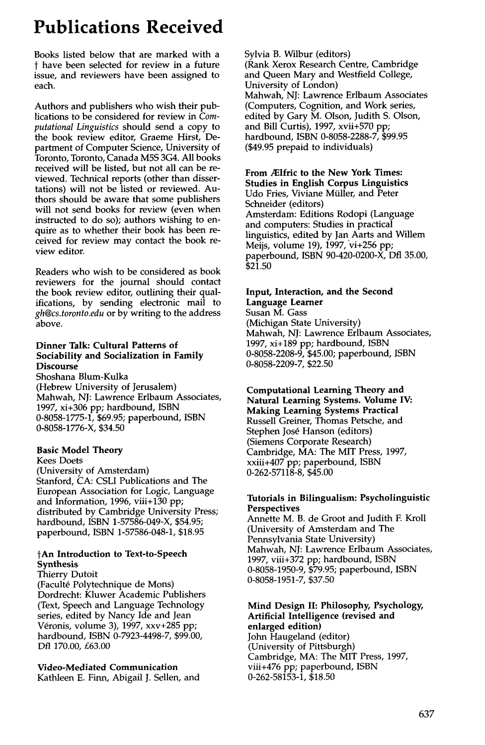# **Publications Received**

Books listed below that are marked with a t have been selected for review in a future issue, and reviewers have been assigned to each.

Authors and publishers who wish their publications to be considered for review in *Computational Linguistics* should send a copy to the book review editor, Graeme Hirst, Department of Computer Science, University of Toronto, Toronto, Canada M5S 3G4. All books received will be listed, but not all can be reviewed. Technical reports (other than dissertations) will not be listed or reviewed. Authors should be aware that some publishers will not send books for review (even when instructed to do so); authors wishing to enquire as to whether their book has been received for review may contact the book review editor.

Readers who wish to be considered as book reviewers for the journal should contact the book review editor, outlining their qualifications, by sending electronic mail to *gh@cs.toronto.edu* or by writing to the address above.

### **Dinner Talk: Cultural Patterns of Sociability and Socialization in Family Discourse**

Shoshana Blum-Kulka (Hebrew University of Jerusalem) Mahwah, NJ: Lawrence Erlbaum Associates, 1997, xi+306 pp; hardbound, ISBN 0-8058-1775-1, \$69.95; paperbound, ISBN 0-8058-1776-X, \$34.50

#### **Basic Model Theory**

Kees Doets (University of Amsterdam) Stanford, CA: CSLI Publications and The European Association for Logic, Language and Information, 1996, viii+130 pp; distributed by Cambridge University Press; hardbound, ISBN 1-57586-049-X, \$54.95; paperbound, ISBN 1-57586-048-1, \$18.95

# **tAn Introduction to Text-to-Speech Synthesis**

Thierry Dutoit (Faculté Polytechnique de Mons) Dordrecht: Kluwer Academic Publishers (Text, Speech and Language Technology series, edited by Nancy Ide and Jean Véronis, volume 3), 1997, xxv+285 pp; hardbound, ISBN 0-7923-4498-7, \$99.00, Dfl 170.00, £63.00

# **Video-Mediated Communication**

Kathleen E. Finn, Abigail J. Sellen, and

Sylvia B. Wilbur (editors) (Rank Xerox Research Centre, Cambridge and Queen Mary and Westfield College, University of London) Mahwah, NJ: Lawrence Erlbaum Associates (Computers, Cognition, and Work series, edited by Gary M. Olson, Judith S. Olson, and Bill Curtis), 1997, xvii+570 pp; hardbound, ISBN 0-8058-2288-7, \$99.95 (\$49.95 prepaid to individuals)

#### **From .2Elfric to the New York Times: Studies in English Corpus Linguistics**

Udo Fries, Viviane Müller, and Peter Schneider (editors) Amsterdam: Editions Rodopi (Language and computers: Studies in practical linguistics, edited by Jan Aarts and Willem Meijs, volume 19), 1997, vi+256 pp; paperbound, ISBN 90-420-0200-X, Dfl 35.00, \$21.50

# **Input, Interaction, and the Second Language Learner**

Susan M. Gass (Michigan State University) Mahwah, NJ: Lawrence Erlbaum Associates, 1997, xi+189 pp; hardbound, ISBN 0-8058-2208-9, \$45.00; paperbound, ISBN 0-8058-2209-7, \$22.50

**Computational Learning Theory and Natural Learning Systems. Volume IV: Making Learning Systems Practical**  Russell Greiner, Thomas Petsche, and Stephen José Hanson (editors) (Siemens Corporate Research) Cambridge, MA: The MIT Press, 1997, xxiii+407 pp; paperbound, ISBN 0-262-57118-8, \$45.00

#### **Tutorials in Bilingualism: Psycholinguistic Perspectives**

Annette M. B. de Groot and Judith E Kroll (University of Amsterdam and The Pennsylvania State University) Mahwah, NJ: Lawrence Erlbaum Associates, 1997, viii+372 pp; hardbound, ISBN 0-8058-1950-9, \$79.95; paperbound, ISBN 0-8058-1951-7, \$37.50

# **Mind Design II: Philosophy, Psychology, Artificial Intelligence (revised and enlarged edition)**

John Haugeland (editor) (University of Pittsburgh) Cambridge, MA: The MIT Press, 1997, viii+476 pp; paperbound, ISBN 0-262-58153-1, \$18.50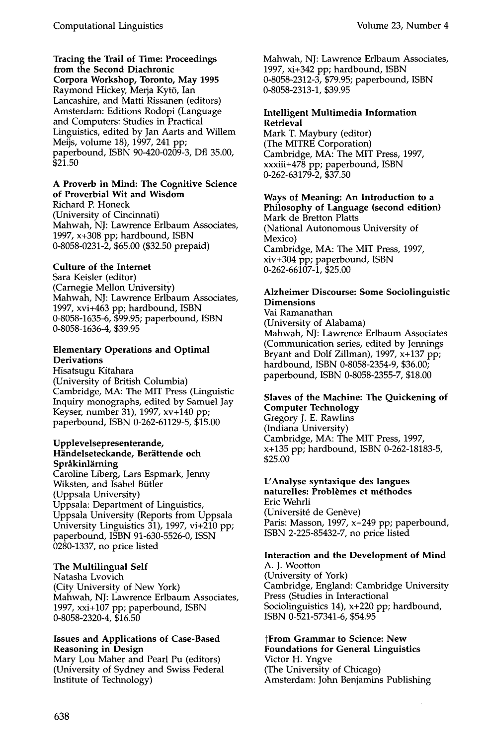**Tracing the Trail of Time: Proceedings from the Second Diachronic Corpora Workshop, Toronto, May 1995**  Raymond Hickey, Merja Kytö, Ian Lancashire, and Matti Rissanen (editors) Amsterdam: Editions Rodopi (Language and Computers: Studies in Practical Linguistics, edited by Jan Aarts and Willem Meijs, volume 18), 1997, 241 pp; paperbound, ISBN 90-420-0209-3, Dfl 35.00, \$21.50

#### **A Proverb in Mind: The Cognitive Science of Proverbial Wit and Wisdom**

Richard P. Honeck (University of Cincinnati) Mahwah, NJ: Lawrence Erlbaum Associates, 1997, x+308 pp; hardbound, ISBN 0-8058-0231-2, \$65.00 (\$32.50 prepaid)

# **Culture of the Intemet**

Sara Keisler (editor) (Carnegie Mellon University) Mahwah, NJ: Lawrence Erlbaum Associates, 1997, xvi+463 pp; hardbound, ISBN 0-8058-1635-6, \$99.95; paperbound, ISBN 0-8058-1636-4, \$39.95

# **Elementary Operations and Optimal Derivations**

Hisatsugu Kitahara (University of British Columbia) Cambridge, MA: The MIT Press (Linguistic Inquiry monographs, edited by Samuel Jay Keyser, number 31), 1997, xv+140 pp; paperbound, ISBN 0-262-61129-5, \$15.00

#### **Upplevelsepresenterande, Händelseteckande, Berättende och Sprakinl~irning**

Caroline Liberg, Lars Espmark, Jenny Wiksten, and Isabel Bütler (Uppsala University) Uppsala: Department of Linguistics, Uppsala University (Reports from Uppsala University Linguistics 31), 1997, vi+210 pp; paperbound, ISBN 91-630-5526-0, ISSN 0280-1337, no price listed

# **The Multilingual Self**

Natasha Lvovich (City University of New York) Mahwah, NJ: Lawrence Erlbaum Associates, 1997, xxi+107 pp; paperbound, ISBN 0-8058-2320-4, \$16.50

# **Issues and Applications of Case-Based Reasoning in Design**

Mary Lou Maher and Pearl Pu (editors) (University of Sydney and Swiss Federal Institute of Technology)

Mahwah, NJ: Lawrence Erlbaum Associates, 1997, xi+342 pp; hardbound, ISBN 0-8058-2312-3, \$79.95; paperbound, ISBN 0-8058-2313-1, \$39.95

# **Intelligent Multimedia Information Retrieval**

Mark T. Maybury (editor) (The MITRE Corporation) Cambridge, MA: The MIT Press, 1997, xxxiii+478 pp; paperbound, ISBN 0-262-63179-2, \$37.50

# **Ways of Meaning: An Introduction to** a **Philosophy of Language (second edition)**  Mark de Bretton Platts (National Autonomous University of Mexico) Cambridge, MA: The MIT Press, 1997, xiv+304 pp; paperbound, ISBN

0-262-66107-1, \$25.00

# **Alzheimer Discourse: Some Sociolinguistic Dimensions**

Vai Ramanathan (University of Alabama) Mahwah, NJ: Lawrence Erlbaum Associates (Communication series, edited by Jennings Bryant and Dolf Zillman), 1997, x+137 pp; hardbound, ISBN 0-8058-2354-9, \$36.00; paperbound, ISBN 0-8058-2355-7, \$18.00

# **Slaves of the Machine: The Quickening of Computer Technology**

Gregory J. E. Rawlins (Indiana University) Cambridge, MA: The MIT Press, 1997, x+135 pp; hardbound, ISBN 0-262-18183-5, \$25.00

#### **UAnalyse syntaxique des langues**  naturelles: Problèmes et méthodes

Eric Wehrli (Université de Genève) Paris: Masson, 1997, x+249 pp; paperbound, ISBN 2-225-85432-7, no price listed

# **Interaction and the Development of Mind**

A. J. Wootton (University of York) Cambridge, England: Cambridge University Press (Studies in Interactional Sociolinguistics 14), x+220 pp; hardbound, ISBN 0-521-57341-6, \$54.95

**~From Grammar to Science: New Foundations for General Linguistics**  Victor H. Yngve (The University of Chicago) Amsterdam: John Benjamins Publishing